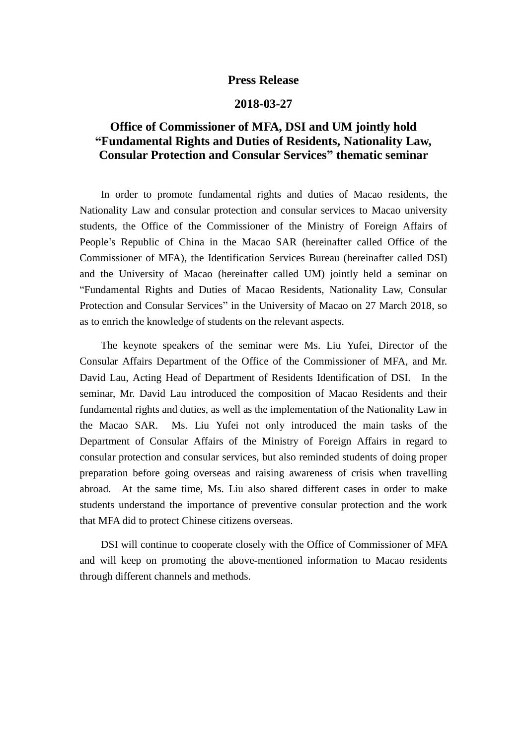## **Press Release**

## **2018-03-27**

## **Office of Commissioner of MFA, DSI and UM jointly hold "Fundamental Rights and Duties of Residents, Nationality Law, Consular Protection and Consular Services" thematic seminar**

In order to promote fundamental rights and duties of Macao residents, the Nationality Law and consular protection and consular services to Macao university students, the Office of the Commissioner of the Ministry of Foreign Affairs of People's Republic of China in the Macao SAR (hereinafter called Office of the Commissioner of MFA), the Identification Services Bureau (hereinafter called DSI) and the University of Macao (hereinafter called UM) jointly held a seminar on "Fundamental Rights and Duties of Macao Residents, Nationality Law, Consular Protection and Consular Services" in the University of Macao on 27 March 2018, so as to enrich the knowledge of students on the relevant aspects.

The keynote speakers of the seminar were Ms. Liu Yufei, Director of the Consular Affairs Department of the Office of the Commissioner of MFA, and Mr. David Lau, Acting Head of Department of Residents Identification of DSI. In the seminar, Mr. David Lau introduced the composition of Macao Residents and their fundamental rights and duties, as well as the implementation of the Nationality Law in the Macao SAR. Ms. Liu Yufei not only introduced the main tasks of the Department of Consular Affairs of the Ministry of Foreign Affairs in regard to consular protection and consular services, but also reminded students of doing proper preparation before going overseas and raising awareness of crisis when travelling abroad. At the same time, Ms. Liu also shared different cases in order to make students understand the importance of preventive consular protection and the work that MFA did to protect Chinese citizens overseas.

DSI will continue to cooperate closely with the Office of Commissioner of MFA and will keep on promoting the above-mentioned information to Macao residents through different channels and methods.